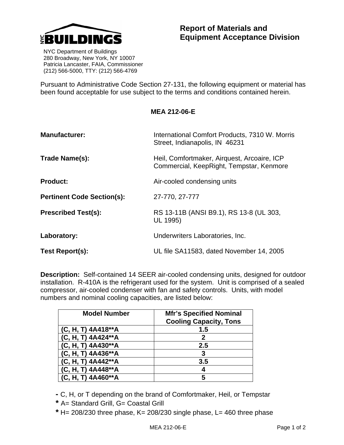

 NYC Department of Buildings 280 Broadway, New York, NY 10007 Patricia Lancaster, FAIA, Commissioner (212) 566-5000, TTY: (212) 566-4769

Pursuant to Administrative Code Section 27-131, the following equipment or material has been found acceptable for use subject to the terms and conditions contained herein.

**MEA 212-06-E** 

| <b>Manufacturer:</b>              | International Comfort Products, 7310 W. Morris<br>Street, Indianapolis, IN 46231        |
|-----------------------------------|-----------------------------------------------------------------------------------------|
| Trade Name(s):                    | Heil, Comfortmaker, Airquest, Arcoaire, ICP<br>Commercial, KeepRight, Tempstar, Kenmore |
| <b>Product:</b>                   | Air-cooled condensing units                                                             |
| <b>Pertinent Code Section(s):</b> | 27-770, 27-777                                                                          |
| <b>Prescribed Test(s):</b>        | RS 13-11B (ANSI B9.1), RS 13-8 (UL 303,<br>UL 1995)                                     |
| Laboratory:                       | Underwriters Laboratories, Inc.                                                         |
| <b>Test Report(s):</b>            | UL file SA11583, dated November 14, 2005                                                |

**Description:** Self-contained 14 SEER air-cooled condensing units, designed for outdoor installation. R-410A is the refrigerant used for the system. Unit is comprised of a sealed compressor, air-cooled condenser with fan and safety controls. Units, with model numbers and nominal cooling capacities, are listed below:

| <b>Model Number</b>  | <b>Mfr's Specified Nominal</b><br><b>Cooling Capacity, Tons</b> |
|----------------------|-----------------------------------------------------------------|
| (С, Н, Т) 4A418**А   | 1.5                                                             |
| $(C, H, T)$ 4A424**A |                                                                 |
| $(C, H, T) 4A430**A$ | 2.5                                                             |
| $(C, H, T) 4A436**A$ | 3                                                               |
| $(C, H, T) 4A442**A$ | 3.5                                                             |
| $(C, H, T)$ 4A448**A |                                                                 |
| (C, H, T) 4A460**A   |                                                                 |

**-** C, H, or T depending on the brand of Comfortmaker, Heil, or Tempstar

**\*** A= Standard Grill, G= Coastal Grill

 $*$  H = 208/230 three phase, K = 208/230 single phase, L = 460 three phase